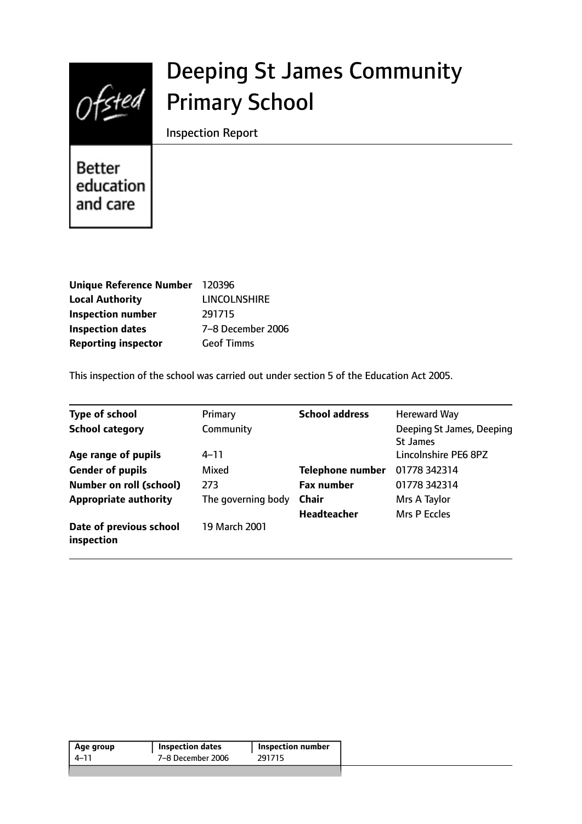

# Deeping St James Community Primary School

Inspection Report

**Better** education and care

| Unique Reference Number 120396 |                     |
|--------------------------------|---------------------|
| <b>Local Authority</b>         | <b>LINCOLNSHIRE</b> |
| <b>Inspection number</b>       | 291715              |
| <b>Inspection dates</b>        | 7-8 December 2006   |
| <b>Reporting inspector</b>     | <b>Geof Timms</b>   |

This inspection of the school was carried out under section 5 of the Education Act 2005.

| <b>Type of school</b>                 | Primary            | <b>School address</b>   | <b>Hereward Way</b>                          |
|---------------------------------------|--------------------|-------------------------|----------------------------------------------|
| <b>School category</b>                | Community          |                         | Deeping St James, Deeping<br><b>St James</b> |
| Age range of pupils                   | $4 - 11$           |                         | Lincolnshire PE6 8PZ                         |
| <b>Gender of pupils</b>               | Mixed              | <b>Telephone number</b> | 01778 342314                                 |
| <b>Number on roll (school)</b>        | 273                | <b>Fax number</b>       | 01778 342314                                 |
| <b>Appropriate authority</b>          | The governing body | <b>Chair</b>            | Mrs A Taylor                                 |
|                                       |                    | <b>Headteacher</b>      | Mrs P Eccles                                 |
| Date of previous school<br>inspection | 19 March 2001      |                         |                                              |

| 291715<br>7–8 December 2006<br>4–11 | Age group | <b>Inspection dates</b> | <b>Inspection number</b> |  |
|-------------------------------------|-----------|-------------------------|--------------------------|--|
|                                     |           |                         |                          |  |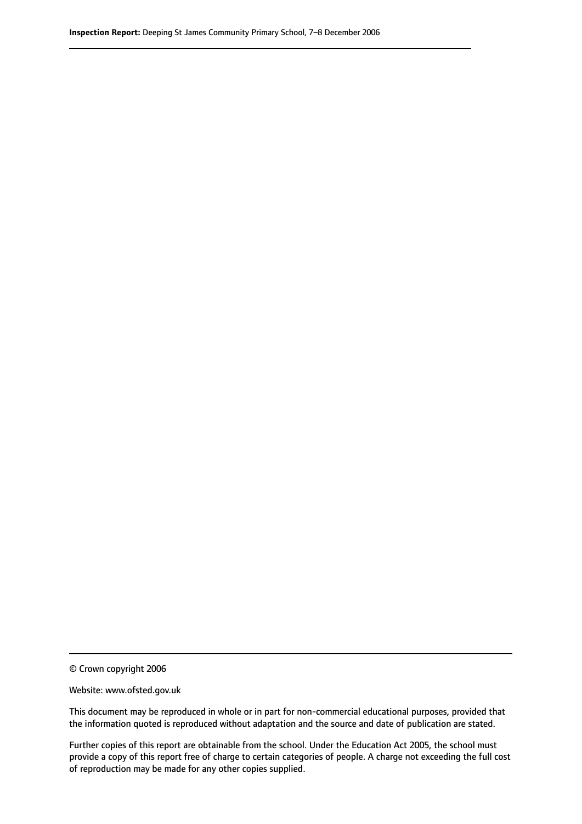© Crown copyright 2006

Website: www.ofsted.gov.uk

This document may be reproduced in whole or in part for non-commercial educational purposes, provided that the information quoted is reproduced without adaptation and the source and date of publication are stated.

Further copies of this report are obtainable from the school. Under the Education Act 2005, the school must provide a copy of this report free of charge to certain categories of people. A charge not exceeding the full cost of reproduction may be made for any other copies supplied.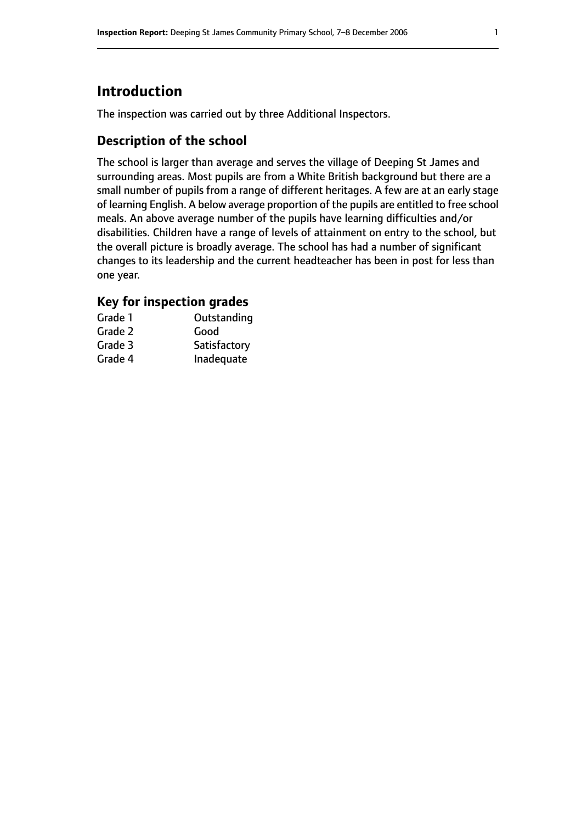# **Introduction**

The inspection was carried out by three Additional Inspectors.

### **Description of the school**

The school is larger than average and serves the village of Deeping St James and surrounding areas. Most pupils are from a White British background but there are a small number of pupils from a range of different heritages. A few are at an early stage of learning English. A below average proportion of the pupils are entitled to free school meals. An above average number of the pupils have learning difficulties and/or disabilities. Children have a range of levels of attainment on entry to the school, but the overall picture is broadly average. The school has had a number of significant changes to its leadership and the current headteacher has been in post for less than one year.

### **Key for inspection grades**

| Grade 1 | Outstanding  |
|---------|--------------|
| Grade 2 | Good         |
| Grade 3 | Satisfactory |
| Grade 4 | Inadequate   |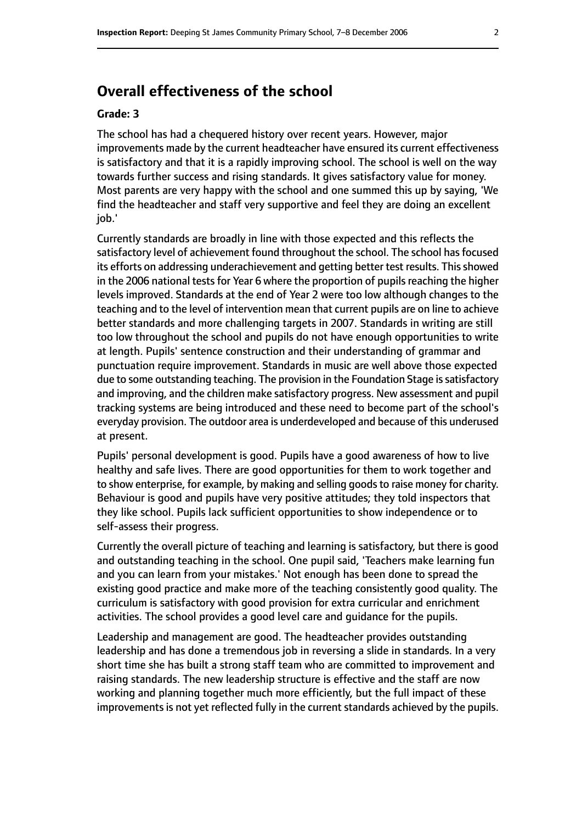# **Overall effectiveness of the school**

#### **Grade: 3**

The school has had a chequered history over recent years. However, major improvements made by the current headteacher have ensured its current effectiveness is satisfactory and that it is a rapidly improving school. The school is well on the way towards further success and rising standards. It gives satisfactory value for money. Most parents are very happy with the school and one summed this up by saying, 'We find the headteacher and staff very supportive and feel they are doing an excellent job.'

Currently standards are broadly in line with those expected and this reflects the satisfactory level of achievement found throughout the school. The school has focused its efforts on addressing underachievement and getting better test results. This showed in the 2006 national tests for Year 6 where the proportion of pupils reaching the higher levels improved. Standards at the end of Year 2 were too low although changes to the teaching and to the level of intervention mean that current pupils are on line to achieve better standards and more challenging targets in 2007. Standards in writing are still too low throughout the school and pupils do not have enough opportunities to write at length. Pupils' sentence construction and their understanding of grammar and punctuation require improvement. Standards in music are well above those expected due to some outstanding teaching. The provision in the Foundation Stage is satisfactory and improving, and the children make satisfactory progress. New assessment and pupil tracking systems are being introduced and these need to become part of the school's everyday provision. The outdoor area is underdeveloped and because of this underused at present.

Pupils' personal development is good. Pupils have a good awareness of how to live healthy and safe lives. There are good opportunities for them to work together and to show enterprise, for example, by making and selling goods to raise money for charity. Behaviour is good and pupils have very positive attitudes; they told inspectors that they like school. Pupils lack sufficient opportunities to show independence or to self-assess their progress.

Currently the overall picture of teaching and learning is satisfactory, but there is good and outstanding teaching in the school. One pupil said, 'Teachers make learning fun and you can learn from your mistakes.' Not enough has been done to spread the existing good practice and make more of the teaching consistently good quality. The curriculum is satisfactory with good provision for extra curricular and enrichment activities. The school provides a good level care and guidance for the pupils.

Leadership and management are good. The headteacher provides outstanding leadership and has done a tremendous job in reversing a slide in standards. In a very short time she has built a strong staff team who are committed to improvement and raising standards. The new leadership structure is effective and the staff are now working and planning together much more efficiently, but the full impact of these improvements is not yet reflected fully in the current standards achieved by the pupils.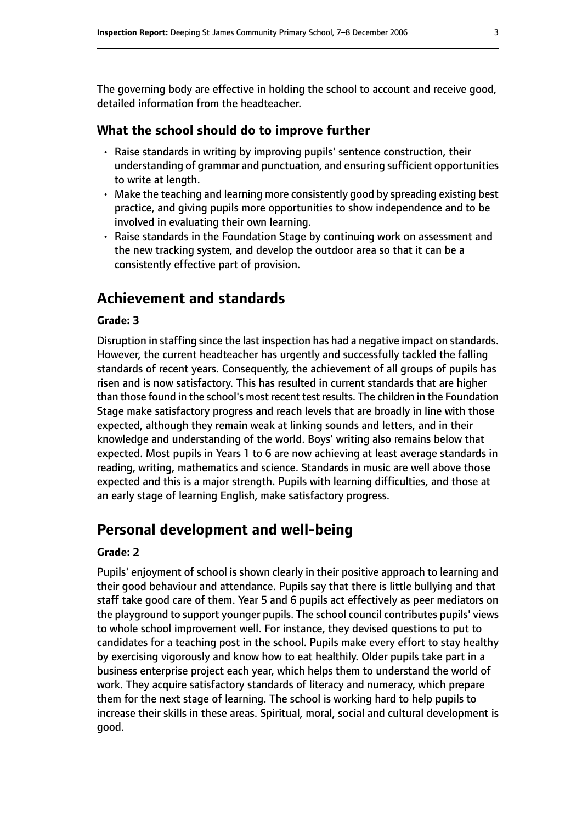The governing body are effective in holding the school to account and receive good, detailed information from the headteacher.

### **What the school should do to improve further**

- Raise standards in writing by improving pupils' sentence construction, their understanding of grammar and punctuation, and ensuring sufficient opportunities to write at length.
- Make the teaching and learning more consistently good by spreading existing best practice, and giving pupils more opportunities to show independence and to be involved in evaluating their own learning.
- Raise standards in the Foundation Stage by continuing work on assessment and the new tracking system, and develop the outdoor area so that it can be a consistently effective part of provision.

# **Achievement and standards**

### **Grade: 3**

Disruption in staffing since the last inspection has had a negative impact on standards. However, the current headteacher has urgently and successfully tackled the falling standards of recent years. Consequently, the achievement of all groups of pupils has risen and is now satisfactory. This has resulted in current standards that are higher than those found in the school's most recent test results. The children in the Foundation Stage make satisfactory progress and reach levels that are broadly in line with those expected, although they remain weak at linking sounds and letters, and in their knowledge and understanding of the world. Boys' writing also remains below that expected. Most pupils in Years 1 to 6 are now achieving at least average standards in reading, writing, mathematics and science. Standards in music are well above those expected and this is a major strength. Pupils with learning difficulties, and those at an early stage of learning English, make satisfactory progress.

# **Personal development and well-being**

#### **Grade: 2**

Pupils' enjoyment of school is shown clearly in their positive approach to learning and their good behaviour and attendance. Pupils say that there is little bullying and that staff take good care of them. Year 5 and 6 pupils act effectively as peer mediators on the playground to support younger pupils. The school council contributes pupils' views to whole school improvement well. For instance, they devised questions to put to candidates for a teaching post in the school. Pupils make every effort to stay healthy by exercising vigorously and know how to eat healthily. Older pupils take part in a business enterprise project each year, which helps them to understand the world of work. They acquire satisfactory standards of literacy and numeracy, which prepare them for the next stage of learning. The school is working hard to help pupils to increase their skills in these areas. Spiritual, moral, social and cultural development is good.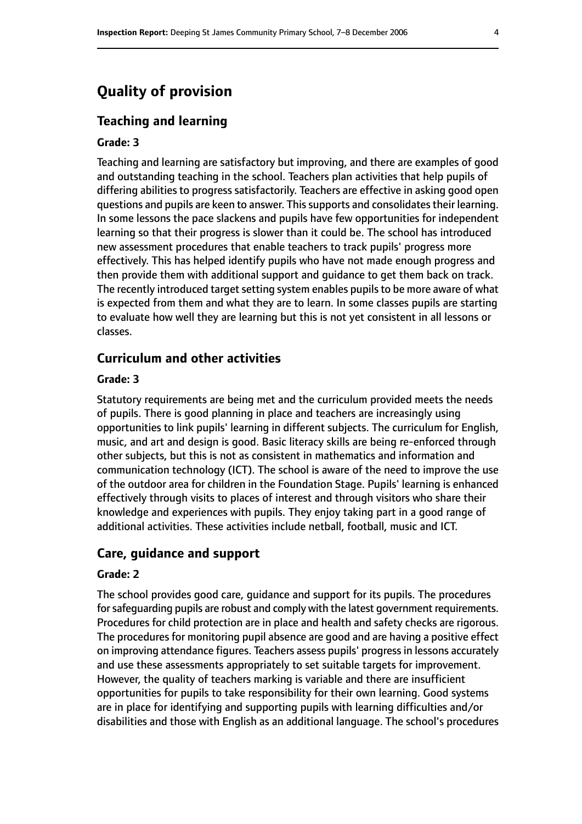# **Quality of provision**

### **Teaching and learning**

#### **Grade: 3**

Teaching and learning are satisfactory but improving, and there are examples of good and outstanding teaching in the school. Teachers plan activities that help pupils of differing abilities to progress satisfactorily. Teachers are effective in asking good open questions and pupils are keen to answer. This supports and consolidates their learning. In some lessons the pace slackens and pupils have few opportunities for independent learning so that their progress is slower than it could be. The school has introduced new assessment procedures that enable teachers to track pupils' progress more effectively. This has helped identify pupils who have not made enough progress and then provide them with additional support and guidance to get them back on track. The recently introduced target setting system enables pupils to be more aware of what is expected from them and what they are to learn. In some classes pupils are starting to evaluate how well they are learning but this is not yet consistent in all lessons or classes.

### **Curriculum and other activities**

#### **Grade: 3**

Statutory requirements are being met and the curriculum provided meets the needs of pupils. There is good planning in place and teachers are increasingly using opportunities to link pupils' learning in different subjects. The curriculum for English, music, and art and design is good. Basic literacy skills are being re-enforced through other subjects, but this is not as consistent in mathematics and information and communication technology (ICT). The school is aware of the need to improve the use of the outdoor area for children in the Foundation Stage. Pupils' learning is enhanced effectively through visits to places of interest and through visitors who share their knowledge and experiences with pupils. They enjoy taking part in a good range of additional activities. These activities include netball, football, music and ICT.

### **Care, guidance and support**

#### **Grade: 2**

The school provides good care, guidance and support for its pupils. The procedures for safeguarding pupils are robust and comply with the latest government requirements. Procedures for child protection are in place and health and safety checks are rigorous. The procedures for monitoring pupil absence are good and are having a positive effect on improving attendance figures. Teachers assess pupils' progress in lessons accurately and use these assessments appropriately to set suitable targets for improvement. However, the quality of teachers marking is variable and there are insufficient opportunities for pupils to take responsibility for their own learning. Good systems are in place for identifying and supporting pupils with learning difficulties and/or disabilities and those with English as an additional language. The school's procedures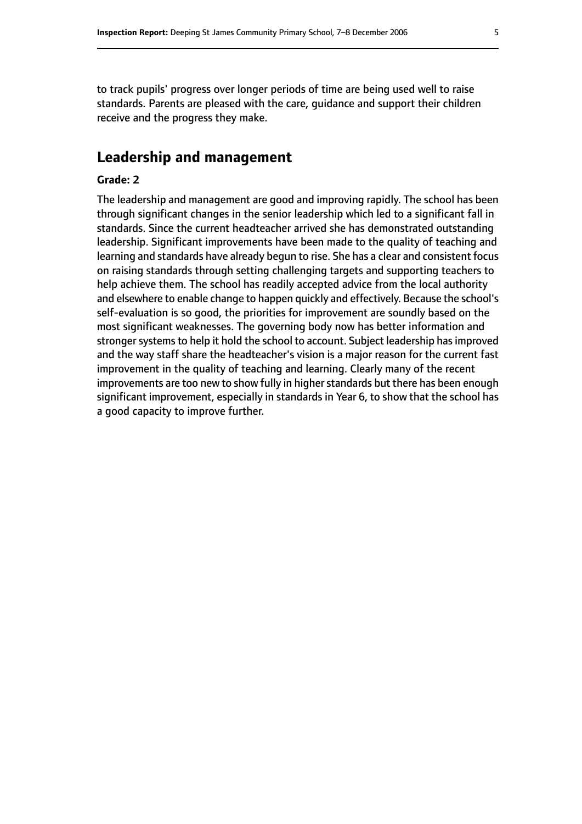to track pupils' progress over longer periods of time are being used well to raise standards. Parents are pleased with the care, guidance and support their children receive and the progress they make.

### **Leadership and management**

### **Grade: 2**

The leadership and management are good and improving rapidly. The school has been through significant changes in the senior leadership which led to a significant fall in standards. Since the current headteacher arrived she has demonstrated outstanding leadership. Significant improvements have been made to the quality of teaching and learning and standards have already begun to rise. She has a clear and consistent focus on raising standards through setting challenging targets and supporting teachers to help achieve them. The school has readily accepted advice from the local authority and elsewhere to enable change to happen quickly and effectively. Because the school's self-evaluation is so good, the priorities for improvement are soundly based on the most significant weaknesses. The governing body now has better information and stronger systems to help it hold the school to account. Subject leadership has improved and the way staff share the headteacher's vision is a major reason for the current fast improvement in the quality of teaching and learning. Clearly many of the recent improvements are too new to show fully in higher standards but there has been enough significant improvement, especially in standards in Year 6, to show that the school has a good capacity to improve further.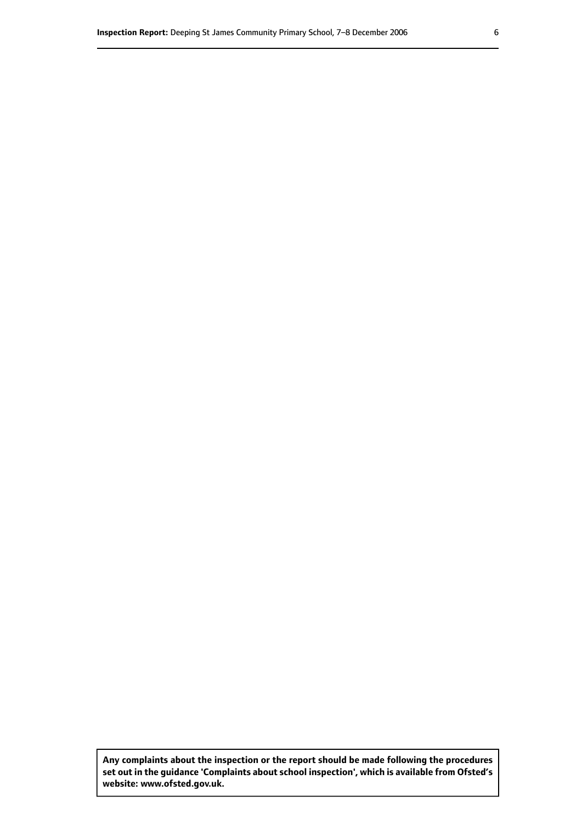**Any complaints about the inspection or the report should be made following the procedures set out inthe guidance 'Complaints about school inspection', whichis available from Ofsted's website: www.ofsted.gov.uk.**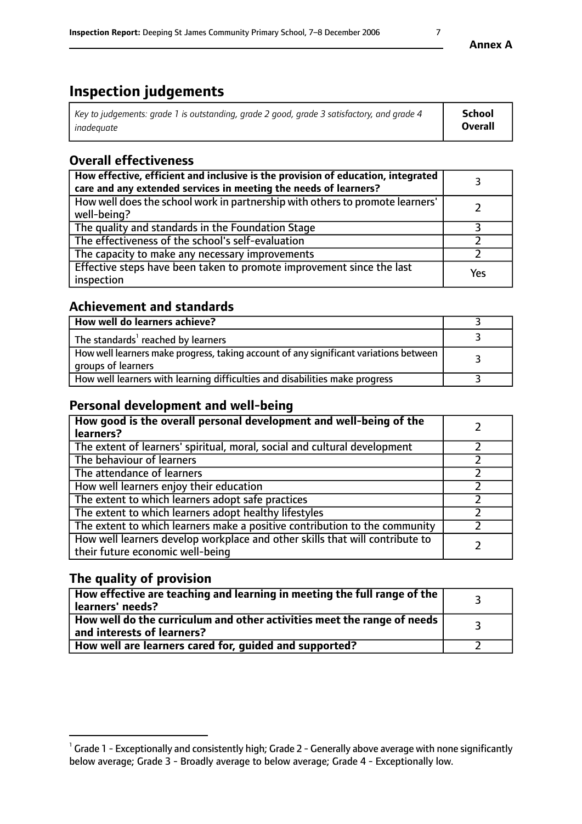# **Inspection judgements**

| Key to judgements: grade 1 is outstanding, grade 2 good, grade 3 satisfactory, and grade 4 | School  |
|--------------------------------------------------------------------------------------------|---------|
| inadeauate                                                                                 | Overall |

### **Overall effectiveness**

| How effective, efficient and inclusive is the provision of education, integrated<br>care and any extended services in meeting the needs of learners? |     |
|------------------------------------------------------------------------------------------------------------------------------------------------------|-----|
| How well does the school work in partnership with others to promote learners'<br>well-being?                                                         |     |
| The quality and standards in the Foundation Stage                                                                                                    |     |
| The effectiveness of the school's self-evaluation                                                                                                    |     |
| The capacity to make any necessary improvements                                                                                                      |     |
| Effective steps have been taken to promote improvement since the last<br>inspection                                                                  | Yes |

### **Achievement and standards**

| How well do learners achieve?                                                                               |  |
|-------------------------------------------------------------------------------------------------------------|--|
| The standards <sup>1</sup> reached by learners                                                              |  |
| How well learners make progress, taking account of any significant variations between<br>groups of learners |  |
| How well learners with learning difficulties and disabilities make progress                                 |  |

### **Personal development and well-being**

| How good is the overall personal development and well-being of the<br>learners?                                  |  |
|------------------------------------------------------------------------------------------------------------------|--|
| The extent of learners' spiritual, moral, social and cultural development                                        |  |
| The behaviour of learners                                                                                        |  |
| The attendance of learners                                                                                       |  |
| How well learners enjoy their education                                                                          |  |
| The extent to which learners adopt safe practices                                                                |  |
| The extent to which learners adopt healthy lifestyles                                                            |  |
| The extent to which learners make a positive contribution to the community                                       |  |
| How well learners develop workplace and other skills that will contribute to<br>their future economic well-being |  |

### **The quality of provision**

| $\Box$ How effective are teaching and learning in meeting the full range of the $\Box$<br>  learners' needs?        |  |
|---------------------------------------------------------------------------------------------------------------------|--|
| $\mid$ How well do the curriculum and other activities meet the range of needs<br>$\mid$ and interests of learners? |  |
| How well are learners cared for, guided and supported?                                                              |  |

 $^1$  Grade 1 - Exceptionally and consistently high; Grade 2 - Generally above average with none significantly below average; Grade 3 - Broadly average to below average; Grade 4 - Exceptionally low.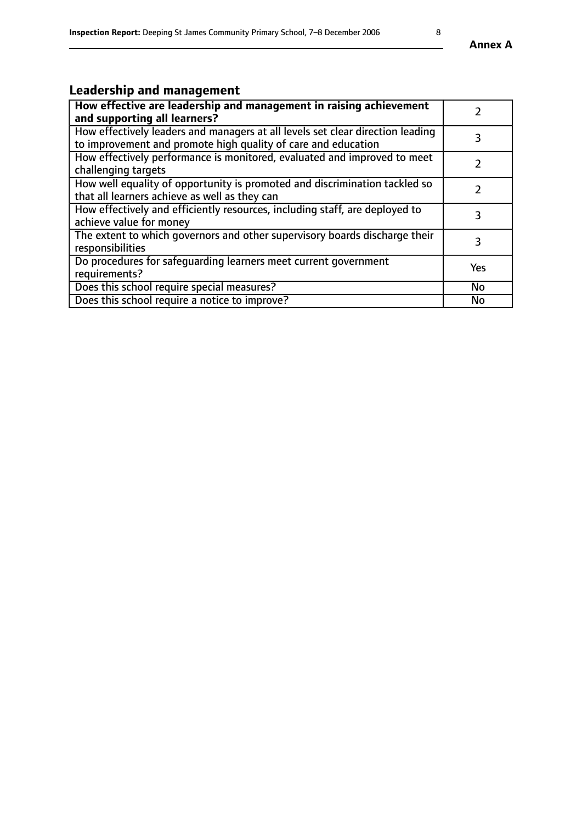# **Leadership and management**

| How effective are leadership and management in raising achievement<br>and supporting all learners?                                              |           |
|-------------------------------------------------------------------------------------------------------------------------------------------------|-----------|
| How effectively leaders and managers at all levels set clear direction leading<br>to improvement and promote high quality of care and education |           |
| How effectively performance is monitored, evaluated and improved to meet<br>challenging targets                                                 |           |
| How well equality of opportunity is promoted and discrimination tackled so<br>that all learners achieve as well as they can                     |           |
| How effectively and efficiently resources, including staff, are deployed to<br>achieve value for money                                          | 3         |
| The extent to which governors and other supervisory boards discharge their<br>responsibilities                                                  | 3         |
| Do procedures for safequarding learners meet current government<br>requirements?                                                                | Yes       |
| Does this school require special measures?                                                                                                      | No        |
| Does this school require a notice to improve?                                                                                                   | <b>No</b> |